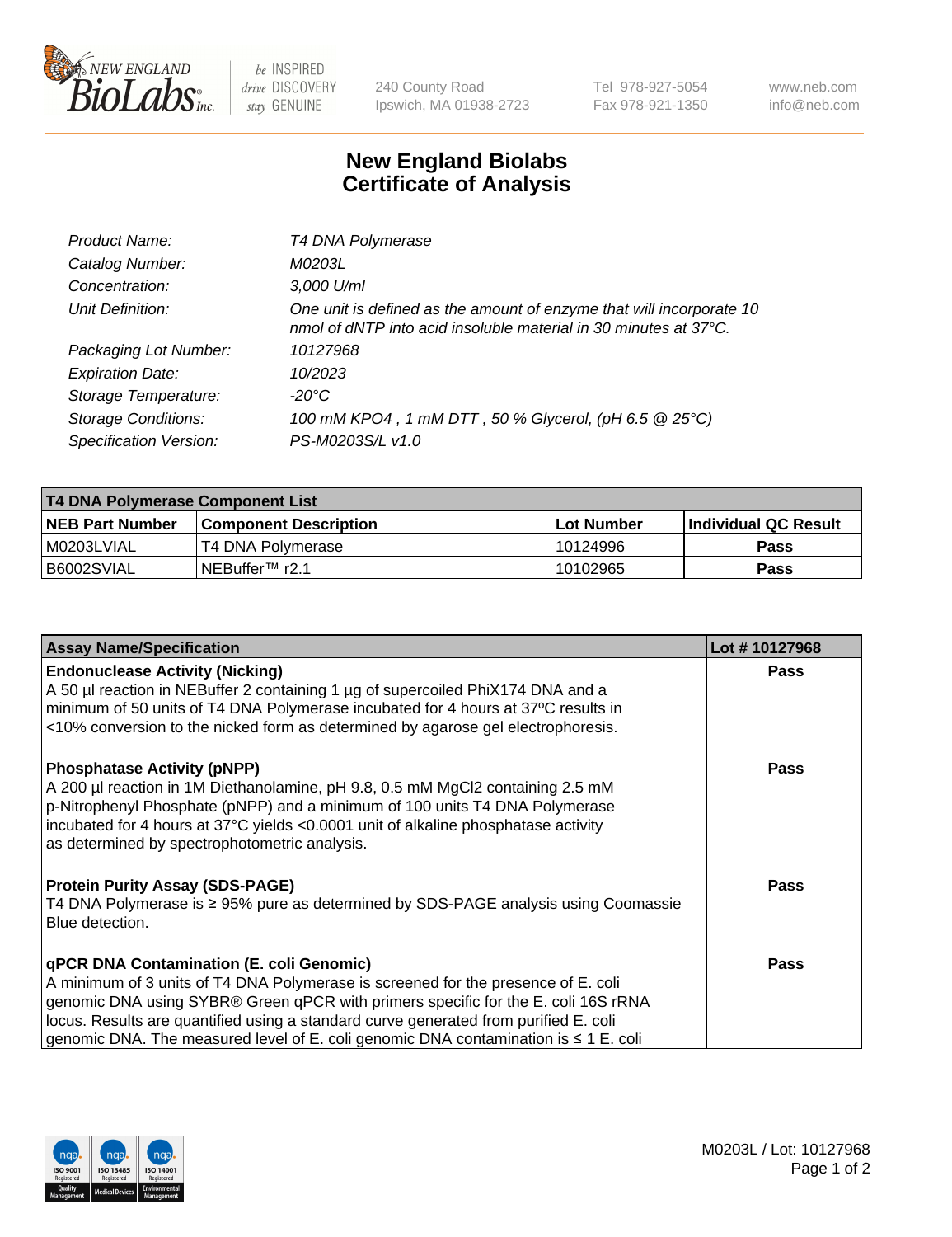

 $be$  INSPIRED drive DISCOVERY stay GENUINE

240 County Road Ipswich, MA 01938-2723 Tel 978-927-5054 Fax 978-921-1350 www.neb.com info@neb.com

## **New England Biolabs Certificate of Analysis**

| Product Name:              | T4 DNA Polymerase                                                                                                                        |
|----------------------------|------------------------------------------------------------------------------------------------------------------------------------------|
| Catalog Number:            | M0203L                                                                                                                                   |
| Concentration:             | 3,000 U/ml                                                                                                                               |
| Unit Definition:           | One unit is defined as the amount of enzyme that will incorporate 10<br>nmol of dNTP into acid insoluble material in 30 minutes at 37°C. |
| Packaging Lot Number:      | 10127968                                                                                                                                 |
| <b>Expiration Date:</b>    | 10/2023                                                                                                                                  |
| Storage Temperature:       | $-20^{\circ}$ C                                                                                                                          |
| <b>Storage Conditions:</b> | 100 mM KPO4, 1 mM DTT, 50 % Glycerol, (pH 6.5 @ 25°C)                                                                                    |
| Specification Version:     | PS-M0203S/L v1.0                                                                                                                         |

| T4 DNA Polymerase Component List |                              |             |                             |  |  |
|----------------------------------|------------------------------|-------------|-----------------------------|--|--|
| <b>NEB Part Number</b>           | <b>Component Description</b> | ∣Lot Number | <b>Individual QC Result</b> |  |  |
| I M0203LVIAL                     | . T4 DNA Polymerase          | 10124996    | Pass                        |  |  |
| I B6002SVIAL                     | INEBuffer™ r2.1              | 10102965    | Pass                        |  |  |

| <b>Assay Name/Specification</b>                                                                                                                                                                                                                                                                                                                                                                               | Lot #10127968 |
|---------------------------------------------------------------------------------------------------------------------------------------------------------------------------------------------------------------------------------------------------------------------------------------------------------------------------------------------------------------------------------------------------------------|---------------|
| <b>Endonuclease Activity (Nicking)</b><br>A 50 µl reaction in NEBuffer 2 containing 1 µg of supercoiled PhiX174 DNA and a<br>minimum of 50 units of T4 DNA Polymerase incubated for 4 hours at 37°C results in<br><10% conversion to the nicked form as determined by agarose gel electrophoresis.                                                                                                            | <b>Pass</b>   |
| <b>Phosphatase Activity (pNPP)</b><br>A 200 µl reaction in 1M Diethanolamine, pH 9.8, 0.5 mM MgCl2 containing 2.5 mM<br>$\vert$ p-Nitrophenyl Phosphate (pNPP) and a minimum of 100 units T4 DNA Polymerase<br>incubated for 4 hours at 37°C yields <0.0001 unit of alkaline phosphatase activity<br>as determined by spectrophotometric analysis.                                                            | <b>Pass</b>   |
| <b>Protein Purity Assay (SDS-PAGE)</b><br>T4 DNA Polymerase is ≥ 95% pure as determined by SDS-PAGE analysis using Coomassie<br>Blue detection.                                                                                                                                                                                                                                                               | <b>Pass</b>   |
| <b>qPCR DNA Contamination (E. coli Genomic)</b><br>A minimum of 3 units of T4 DNA Polymerase is screened for the presence of E. coli<br>genomic DNA using SYBR® Green qPCR with primers specific for the E. coli 16S rRNA<br>locus. Results are quantified using a standard curve generated from purified E. coli<br>genomic DNA. The measured level of E. coli genomic DNA contamination is $\leq 1$ E. coli | <b>Pass</b>   |